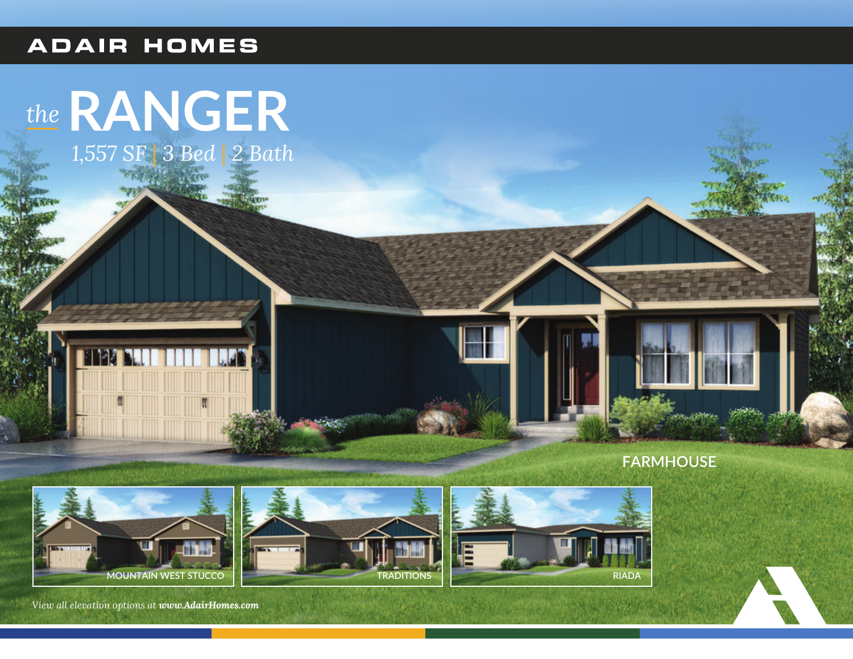## **ADAIR HOMES**





**TRADITIONS** 



View all elevation options at www.AdairHomes.com